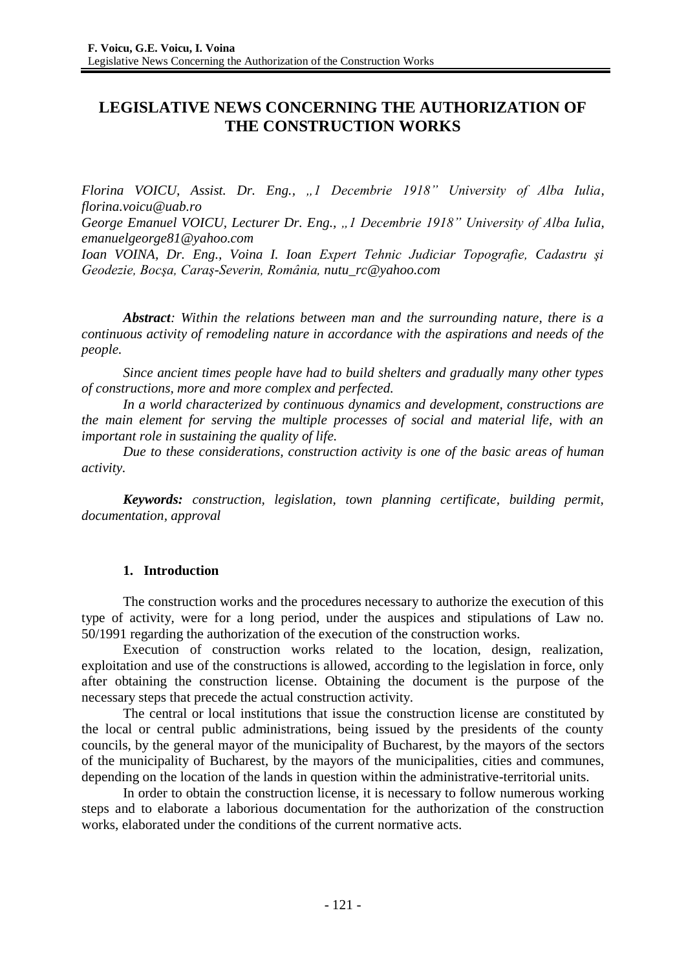# **LEGISLATIVE NEWS CONCERNING THE AUTHORIZATION OF THE CONSTRUCTION WORKS**

*Florina VOICU, Assist. Dr. Eng., "1 Decembrie 1918" University of Alba Iulia, florina.voicu@uab.ro*

*George Emanuel VOICU, Lecturer Dr. Eng., "1 Decembrie 1918" University of Alba Iulia, [emanuelgeorge81@yahoo.com](mailto:emanuelgeorge81@yahoo.com)*

*Ioan VOINA, Dr. Eng., Voina I. Ioan Expert Tehnic Judiciar Topografie, Cadastru şi Geodezie, Bocşa, Caraş-Severin, România, [nutu\\_rc@yahoo.com](mailto:nutu_rc@yahoo.com)*

*Abstract: Within the relations between man and the surrounding nature, there is a continuous activity of remodeling nature in accordance with the aspirations and needs of the people.*

*Since ancient times people have had to build shelters and gradually many other types of constructions, more and more complex and perfected.*

*In a world characterized by continuous dynamics and development, constructions are the main element for serving the multiple processes of social and material life, with an important role in sustaining the quality of life.*

*Due to these considerations, construction activity is one of the basic areas of human activity.*

*Keywords: construction, legislation, town planning certificate, building permit, documentation, approval*

### **1. Introduction**

The construction works and the procedures necessary to authorize the execution of this type of activity, were for a long period, under the auspices and stipulations of Law no. 50/1991 regarding the authorization of the execution of the construction works.

Execution of construction works related to the location, design, realization, exploitation and use of the constructions is allowed, according to the legislation in force, only after obtaining the construction license. Obtaining the document is the purpose of the necessary steps that precede the actual construction activity.

The central or local institutions that issue the construction license are constituted by the local or central public administrations, being issued by the presidents of the county councils, by the general mayor of the municipality of Bucharest, by the mayors of the sectors of the municipality of Bucharest, by the mayors of the municipalities, cities and communes, depending on the location of the lands in question within the administrative-territorial units.

In order to obtain the construction license, it is necessary to follow numerous working steps and to elaborate a laborious documentation for the authorization of the construction works, elaborated under the conditions of the current normative acts.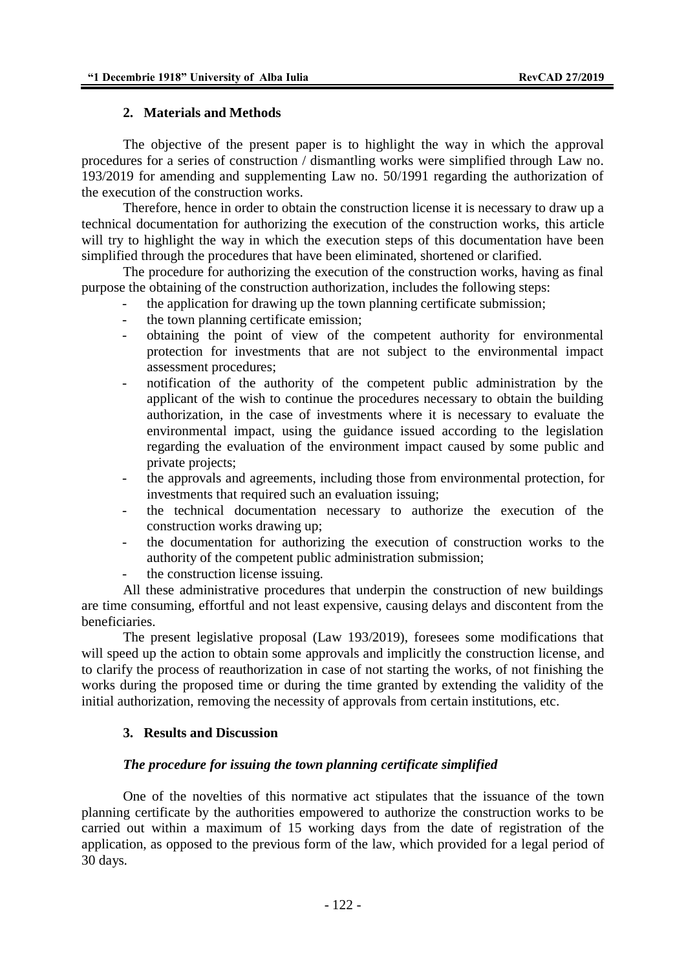### **2. Materials and Methods**

The objective of the present paper is to highlight the way in which the approval procedures for a series of construction / dismantling works were simplified through Law no. 193/2019 for amending and supplementing Law no. 50/1991 regarding the authorization of the execution of the construction works.

Therefore, hence in order to obtain the construction license it is necessary to draw up a technical documentation for authorizing the execution of the construction works, this article will try to highlight the way in which the execution steps of this documentation have been simplified through the procedures that have been eliminated, shortened or clarified.

The procedure for authorizing the execution of the construction works, having as final purpose the obtaining of the construction authorization, includes the following steps:

- the application for drawing up the town planning certificate submission;
- the town planning certificate emission;
- obtaining the point of view of the competent authority for environmental protection for investments that are not subject to the environmental impact assessment procedures;
- notification of the authority of the competent public administration by the applicant of the wish to continue the procedures necessary to obtain the building authorization, in the case of investments where it is necessary to evaluate the environmental impact, using the guidance issued according to the legislation regarding the evaluation of the environment impact caused by some public and private projects;
- the approvals and agreements, including those from environmental protection, for investments that required such an evaluation issuing;
- the technical documentation necessary to authorize the execution of the construction works drawing up;
- the documentation for authorizing the execution of construction works to the authority of the competent public administration submission;
- the construction license issuing.

All these administrative procedures that underpin the construction of new buildings are time consuming, effortful and not least expensive, causing delays and discontent from the beneficiaries.

The present legislative proposal (Law 193/2019), foresees some modifications that will speed up the action to obtain some approvals and implicitly the construction license, and to clarify the process of reauthorization in case of not starting the works, of not finishing the works during the proposed time or during the time granted by extending the validity of the initial authorization, removing the necessity of approvals from certain institutions, etc.

### **3. Results and Discussion**

### *The procedure for issuing the town planning certificate simplified*

One of the novelties of this normative act stipulates that the issuance of the town planning certificate by the authorities empowered to authorize the construction works to be carried out within a maximum of 15 working days from the date of registration of the application, as opposed to the previous form of the law, which provided for a legal period of 30 days.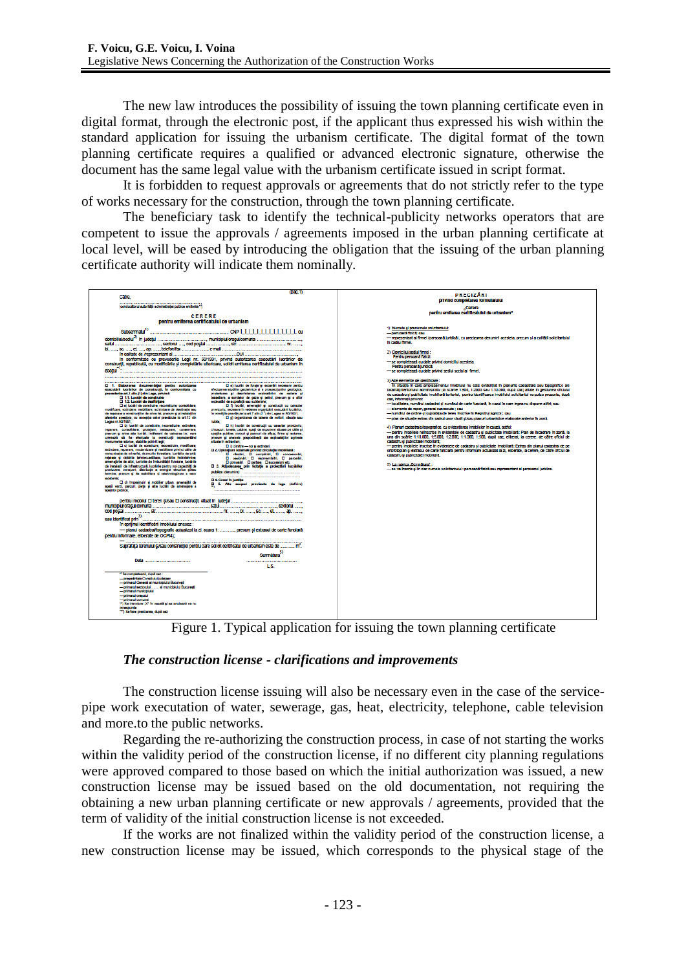The new law introduces the possibility of issuing the town planning certificate even in digital format, through the electronic post, if the applicant thus expressed his wish within the standard application for issuing the urbanism certificate. The digital format of the town planning certificate requires a qualified or advanced electronic signature, otherwise the document has the same legal value with the urbanism certificate issued in script format.

It is forbidden to request approvals or agreements that do not strictly refer to the type of works necessary for the construction, through the town planning certificate.

The beneficiary task to identify the technical-publicity networks operators that are competent to issue the approvals / agreements imposed in the urban planning certificate at local level, will be eased by introducing the obligation that the issuing of the urban planning certificate authority will indicate them nominally.



Figure 1. Typical application for issuing the town planning certificate

### *The construction license - clarifications and improvements*

The construction license issuing will also be necessary even in the case of the servicepipe work executation of water, sewerage, gas, heat, electricity, telephone, cable television and more.to the public networks.

Regarding the re-authorizing the construction process, in case of not starting the works within the validity period of the construction license, if no different city planning regulations were approved compared to those based on which the initial authorization was issued, a new construction license may be issued based on the old documentation, not requiring the obtaining a new urban planning certificate or new approvals / agreements, provided that the term of validity of the initial construction license is not exceeded.

If the works are not finalized within the validity period of the construction license, a new construction license may be issued, which corresponds to the physical stage of the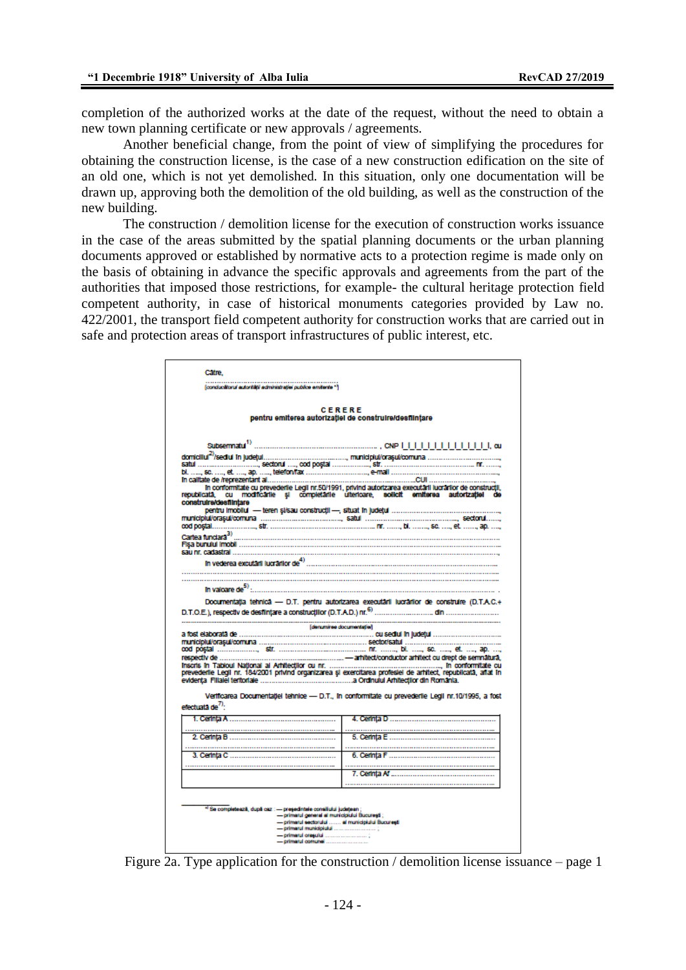completion of the authorized works at the date of the request, without the need to obtain a new town planning certificate or new approvals / agreements.

Another beneficial change, from the point of view of simplifying the procedures for obtaining the construction license, is the case of a new construction edification on the site of an old one, which is not yet demolished. In this situation, only one documentation will be drawn up, approving both the demolition of the old building, as well as the construction of the new building.

The construction / demolition license for the execution of construction works issuance in the case of the areas submitted by the spatial planning documents or the urban planning documents approved or established by normative acts to a protection regime is made only on the basis of obtaining in advance the specific approvals and agreements from the part of the authorities that imposed those restrictions, for example- the cultural heritage protection field competent authority, in case of historical monuments categories provided by Law no. 422/2001, the transport field competent authority for construction works that are carried out in safe and protection areas of transport infrastructures of public interest, etc.

| Cabe.                         |                                                                                 |                                                                                                                                                                                                         |
|-------------------------------|---------------------------------------------------------------------------------|---------------------------------------------------------------------------------------------------------------------------------------------------------------------------------------------------------|
|                               | (conducitional autorității administrației publice emitente *)                   |                                                                                                                                                                                                         |
|                               |                                                                                 | CERERE                                                                                                                                                                                                  |
|                               |                                                                                 | pentru emiterea autorizației de construire/desființare                                                                                                                                                  |
|                               |                                                                                 |                                                                                                                                                                                                         |
|                               |                                                                                 |                                                                                                                                                                                                         |
|                               |                                                                                 |                                                                                                                                                                                                         |
|                               |                                                                                 |                                                                                                                                                                                                         |
| construire/destilintare       |                                                                                 | In conformitate cu prevederile Legli nr.50/1991, privind autorizarea executarii lucrarilor de construcții,<br>republicată, cu modificarile și completârile ulterioare, solicit emiterea autorizației de |
|                               |                                                                                 |                                                                                                                                                                                                         |
|                               |                                                                                 | cod postal……………………… str. …………………………………………………… nr. ……… bl. ……… sc. …… et. ……… ap. ……                                                                                                                     |
| Cartea funciara <sup>3)</sup> |                                                                                 |                                                                                                                                                                                                         |
|                               |                                                                                 |                                                                                                                                                                                                         |
|                               | In vederea excutant lucration $de^{4)}$                                         |                                                                                                                                                                                                         |
|                               |                                                                                 |                                                                                                                                                                                                         |
|                               |                                                                                 |                                                                                                                                                                                                         |
| In valoare de <sup>5)</sup>   |                                                                                 | Documentatia tehnica -- D.T. pentru autorizarea executarii lucrarilor de construire (D.T.A.C.+                                                                                                          |
|                               |                                                                                 | [denuminee documentaties]                                                                                                                                                                               |
|                               |                                                                                 |                                                                                                                                                                                                         |
|                               |                                                                                 |                                                                                                                                                                                                         |
|                               |                                                                                 |                                                                                                                                                                                                         |
|                               |                                                                                 |                                                                                                                                                                                                         |
|                               |                                                                                 |                                                                                                                                                                                                         |
|                               |                                                                                 |                                                                                                                                                                                                         |
|                               |                                                                                 | Vertilicarea Documentației tehnice -- D.T., în conformitate cu prevederile Legii nr.10/1995, a fost                                                                                                     |
|                               |                                                                                 |                                                                                                                                                                                                         |
| efectuata de <sup>7)</sup> .  |                                                                                 |                                                                                                                                                                                                         |
|                               |                                                                                 |                                                                                                                                                                                                         |
|                               |                                                                                 |                                                                                                                                                                                                         |
|                               |                                                                                 |                                                                                                                                                                                                         |
|                               |                                                                                 |                                                                                                                                                                                                         |
|                               |                                                                                 |                                                                                                                                                                                                         |
|                               |                                                                                 |                                                                                                                                                                                                         |
|                               |                                                                                 |                                                                                                                                                                                                         |
|                               | <sup>4)</sup> Se completează, după caz : -- președintele consiliului județean ; | - primarul general al municipiului București ;                                                                                                                                                          |
|                               |                                                                                 | - primarul sectorului  al municipiului București                                                                                                                                                        |

Figure 2a. Type application for the construction / demolition license issuance – page 1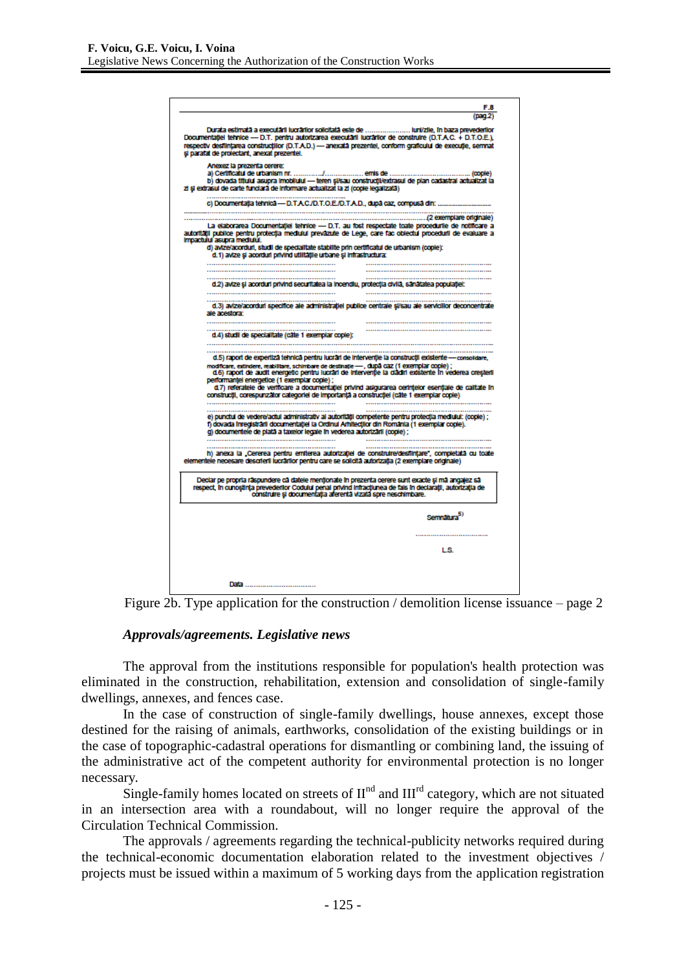

Figure 2b. Type application for the construction / demolition license issuance – page 2

#### *Approvals/agreements. Legislative news*

The approval from the institutions responsible for population's health protection was eliminated in the construction, rehabilitation, extension and consolidation of single-family dwellings, annexes, and fences case.

In the case of construction of single-family dwellings, house annexes, except those destined for the raising of animals, earthworks, consolidation of the existing buildings or in the case of topographic-cadastral operations for dismantling or combining land, the issuing of the administrative act of the competent authority for environmental protection is no longer necessary.

Single-family homes located on streets of  $II<sup>nd</sup>$  and  $III<sup>rd</sup>$  category, which are not situated in an intersection area with a roundabout, will no longer require the approval of the Circulation Technical Commission.

The approvals / agreements regarding the technical-publicity networks required during the technical-economic documentation elaboration related to the investment objectives / projects must be issued within a maximum of 5 working days from the application registration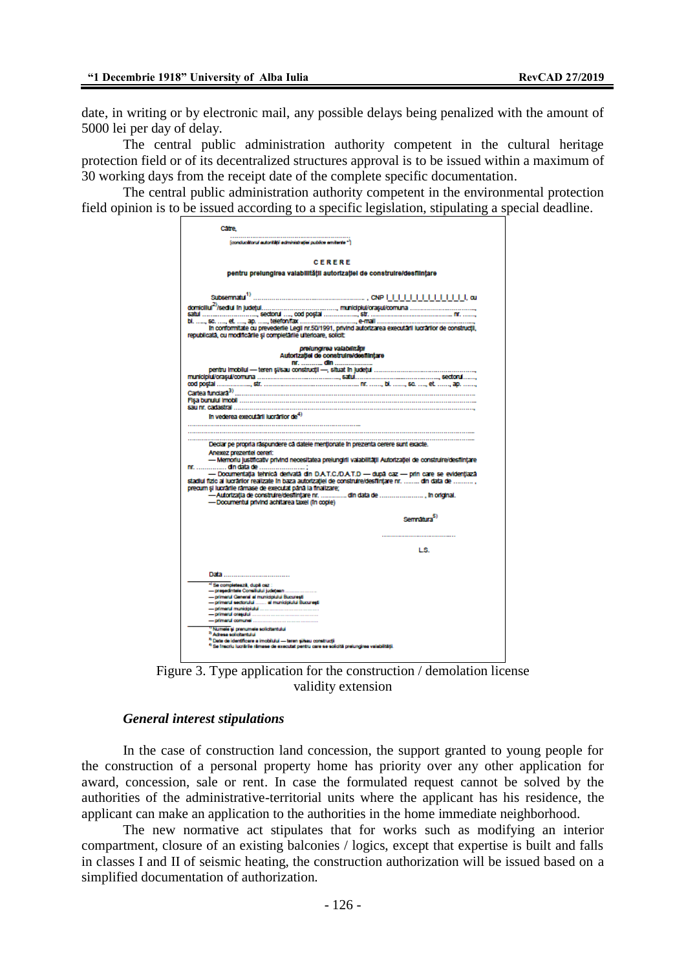date, in writing or by electronic mail, any possible delays being penalized with the amount of 5000 lei per day of delay.

The central public administration authority competent in the cultural heritage protection field or of its decentralized structures approval is to be issued within a maximum of 30 working days from the receipt date of the complete specific documentation.

The central public administration authority competent in the environmental protection field opinion is to be issued according to a specific legislation, stipulating a special deadline.

| Catre.                                                                                                                                                 |                                                                                                                                                                                                       |  |
|--------------------------------------------------------------------------------------------------------------------------------------------------------|-------------------------------------------------------------------------------------------------------------------------------------------------------------------------------------------------------|--|
| [conductions] autorității administrației publice emitente **                                                                                           |                                                                                                                                                                                                       |  |
|                                                                                                                                                        | CERERE                                                                                                                                                                                                |  |
| pentru prelungirea valabilității autorizației de construire/desființare                                                                                |                                                                                                                                                                                                       |  |
| Subsemnatu <sup>1)</sup>                                                                                                                               |                                                                                                                                                                                                       |  |
|                                                                                                                                                        |                                                                                                                                                                                                       |  |
|                                                                                                                                                        | bl. ……, sc. ……, et. ……, ap. ……, telefon/fax ………………………………, e-mail ………………………………………………………<br>In conformitate cu prevederile Legli nr.50/1991, privind autorizarea executârii lucrârilor de construcții,  |  |
| republicată, cu modificările și completârile ulterioare, solicit:                                                                                      | prelungirea valabilității                                                                                                                                                                             |  |
|                                                                                                                                                        | Autorizatiei de construire/destiintare<br><u>nr.  din </u>                                                                                                                                            |  |
|                                                                                                                                                        | pentru imobilui — teren si/sau construcții —, situat în județui ……………………………………………                                                                                                                     |  |
|                                                                                                                                                        |                                                                                                                                                                                                       |  |
|                                                                                                                                                        |                                                                                                                                                                                                       |  |
| In vederea executarii lucrarilor de $^{4)}$                                                                                                            |                                                                                                                                                                                                       |  |
|                                                                                                                                                        |                                                                                                                                                                                                       |  |
|                                                                                                                                                        |                                                                                                                                                                                                       |  |
| Declar pe propria raspundere ca datele mentionate în prezenta cerere sunt exacte.                                                                      |                                                                                                                                                                                                       |  |
| Anexez prezentel cereri:<br>nr.  din data de                                                                                                           | - Memoriu justificativ privind necesitatea prejungiril valabilității Autorizației de construire/desființare                                                                                           |  |
|                                                                                                                                                        | - Documentatia tehnica derivata din D.A.T.C./D.A.T.D -- dupa caz -- prin care se evidentiaza<br>stadiul fizic al lucrărilor realizate în baza autorizației de construire/desființare nr.  din data de |  |
| precum și lucrările rămase de executat până la finalizare;                                                                                             | . Autorizația de construire/desființare nr.  din data de  în original                                                                                                                                 |  |
| -Documentul privind achitarea taxel (in copie)                                                                                                         |                                                                                                                                                                                                       |  |
|                                                                                                                                                        | Sempatura <sup>5)</sup>                                                                                                                                                                               |  |
|                                                                                                                                                        |                                                                                                                                                                                                       |  |
|                                                                                                                                                        | LS.                                                                                                                                                                                                   |  |
|                                                                                                                                                        |                                                                                                                                                                                                       |  |
| Data                                                                                                                                                   |                                                                                                                                                                                                       |  |
| <sup>4</sup> Se completează, după caz :                                                                                                                |                                                                                                                                                                                                       |  |
| -presedintele Consiliului judatean<br>- primarul General al municipiului Bucuresti                                                                     |                                                                                                                                                                                                       |  |
| - primarul sectorului  al municipiului București                                                                                                       |                                                                                                                                                                                                       |  |
|                                                                                                                                                        |                                                                                                                                                                                                       |  |
| "Numele si prenumele solicitantului<br><sup>3</sup> Adress solicitantului<br><sup>3</sup> Date de identificare a imobilului -- teren și/sau construcți |                                                                                                                                                                                                       |  |

Figure 3. Type application for the construction / demolation license validity extension

#### *General interest stipulations*

In the case of construction land concession, the support granted to young people for the construction of a personal property home has priority over any other application for award, concession, sale or rent. In case the formulated request cannot be solved by the authorities of the administrative-territorial units where the applicant has his residence, the applicant can make an application to the authorities in the home immediate neighborhood.

The new normative act stipulates that for works such as modifying an interior compartment, closure of an existing balconies / logics, except that expertise is built and falls in classes I and II of seismic heating, the construction authorization will be issued based on a simplified documentation of authorization.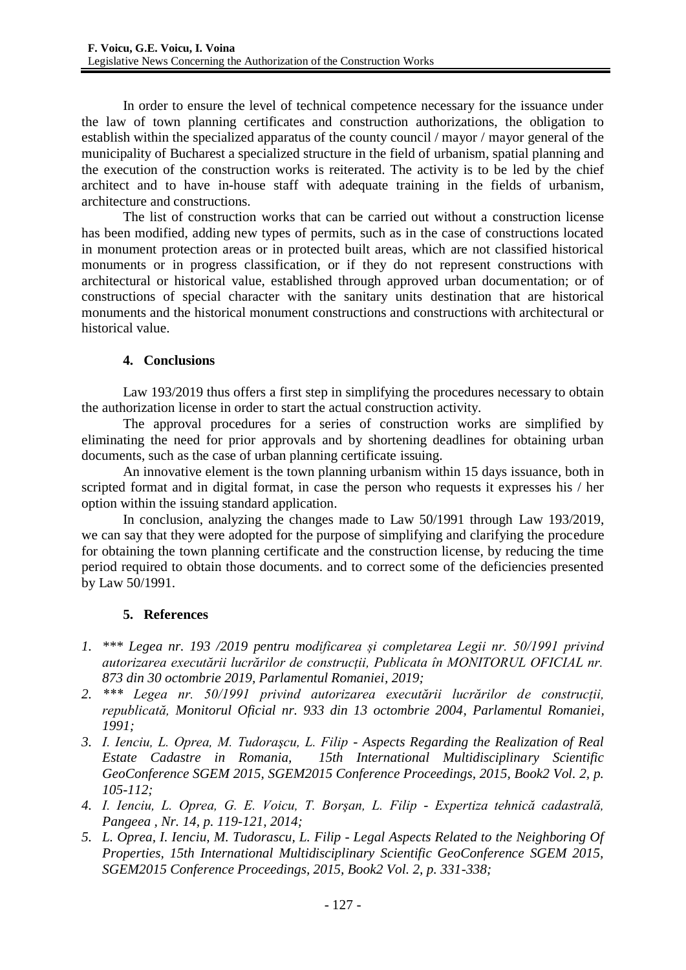In order to ensure the level of technical competence necessary for the issuance under the law of town planning certificates and construction authorizations, the obligation to establish within the specialized apparatus of the county council / mayor / mayor general of the municipality of Bucharest a specialized structure in the field of urbanism, spatial planning and the execution of the construction works is reiterated. The activity is to be led by the chief architect and to have in-house staff with adequate training in the fields of urbanism, architecture and constructions.

The list of construction works that can be carried out without a construction license has been modified, adding new types of permits, such as in the case of constructions located in monument protection areas or in protected built areas, which are not classified historical monuments or in progress classification, or if they do not represent constructions with architectural or historical value, established through approved urban documentation; or of constructions of special character with the sanitary units destination that are historical monuments and the historical monument constructions and constructions with architectural or historical value.

## **4. Conclusions**

Law 193/2019 thus offers a first step in simplifying the procedures necessary to obtain the authorization license in order to start the actual construction activity.

The approval procedures for a series of construction works are simplified by eliminating the need for prior approvals and by shortening deadlines for obtaining urban documents, such as the case of urban planning certificate issuing.

An innovative element is the town planning urbanism within 15 days issuance, both in scripted format and in digital format, in case the person who requests it expresses his / her option within the issuing standard application.

In conclusion, analyzing the changes made to Law 50/1991 through Law 193/2019, we can say that they were adopted for the purpose of simplifying and clarifying the procedure for obtaining the town planning certificate and the construction license, by reducing the time period required to obtain those documents. and to correct some of the deficiencies presented by Law 50/1991.

## **5. References**

- *1. \*\*\* Legea nr. 193 /2019 pentru modificarea și completarea Legii nr. 50/1991 privind autorizarea executării lucrărilor de construcții, Publicata în MONITORUL OFICIAL nr. 873 din 30 octombrie 2019, Parlamentul Romaniei, 2019;*
- *2. \*\*\* Legea nr. 50/1991 privind autorizarea executării lucrărilor de construcții, republicată, Monitorul Oficial nr. 933 din 13 octombrie 2004, Parlamentul Romaniei, 1991;*
- *3. I. Ienciu, L. Oprea, M. Tudoraşcu, L. Filip - Aspects Regarding the Realization of Real Estate Cadastre in Romania, 15th International Multidisciplinary Scientific*  GeoConference SGEM 2015, SGEM2015 Conference Proceedings, 2015, Book2 Vol. 2, p. *105-112;*
- *4. I. Ienciu, L. Oprea, G. E. Voicu, T. Borşan, L. Filip - Expertiza tehnică cadastrală, Pangeea , Nr. 14, p. 119-121, 2014;*
- *5. L. Oprea, I. Ienciu, M. Tudorascu, L. Filip - Legal Aspects Related to the Neighboring Of Properties, 15th International Multidisciplinary Scientific GeoConference SGEM 2015, SGEM2015 Conference Proceedings, 2015, Book2 Vol. 2, p. 331-338;*